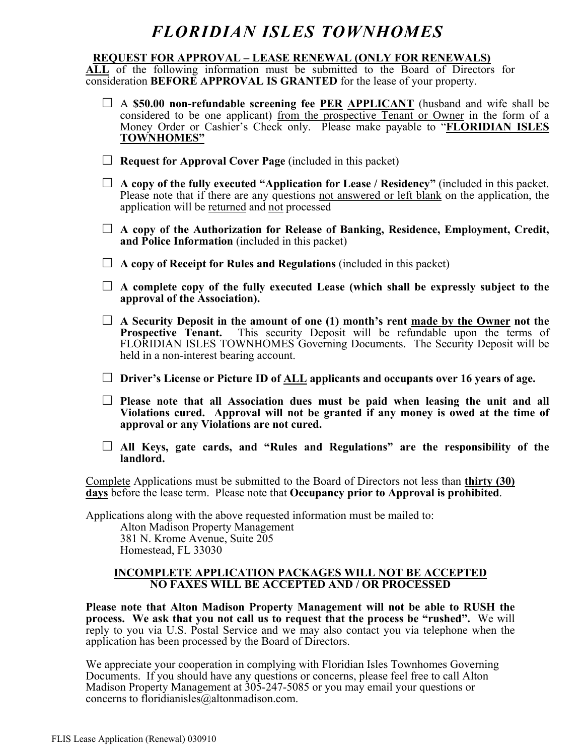#### **REQUEST FOR APPROVAL – LEASE RENEWAL (ONLY FOR RENEWALS)**

**ALL** of the following information must be submitted to the Board of Directors for consideration **BEFORE APPROVAL IS GRANTED** for the lease of your property.

- □ A **\$50.00 non-refundable screening fee PER APPLICANT** (husband and wife shall be considered to be one applicant) from the prospective Tenant or Owner in the form of a Money Order or Cashier's Check only. Please make payable to "**FLORIDIAN ISLES TOWNHOMES"**
- □ **Request for Approval Cover Page** (included in this packet)
- $\Box$  **A copy of the fully executed "Application for Lease / Residency"** (included in this packet. Please note that if there are any questions not answered or left blank on the application, the application will be returned and not processed
- □ A copy of the Authorization for Release of Banking, Residence, Employment, Credit, **and Police Information** (included in this packet)
- □ **A copy of Receipt for Rules and Regulations** (included in this packet)
- □ **A complete copy of the fully executed Lease (which shall be expressly subject to the approval of the Association).**
- □ **A Security Deposit in the amount of one (1) month's rent made by the Owner not the Prospective Tenant.** This security Deposit will be refundable upon the terms of FLORIDIAN ISLES TOWNHOMES Governing Documents. The Security Deposit will be held in a non-interest bearing account.
- □ **Driver's License or Picture ID of ALL applicants and occupants over 16 years of age.**
- □ **Please note that all Association dues must be paid when leasing the unit and all Violations cured. Approval will not be granted if any money is owed at the time of approval or any Violations are not cured.**
- □ **All Keys, gate cards, and "Rules and Regulations" are the responsibility of the landlord.**

Complete Applications must be submitted to the Board of Directors not less than **thirty (30) days** before the lease term. Please note that **Occupancy prior to Approval is prohibited**.

Applications along with the above requested information must be mailed to:

Alton Madison Property Management 381 N. Krome Avenue, Suite 205 Homestead, FL 33030

#### **INCOMPLETE APPLICATION PACKAGES WILL NOT BE ACCEPTED NO FAXES WILL BE ACCEPTED AND / OR PROCESSED**

**Please note that Alton Madison Property Management will not be able to RUSH the process. We ask that you not call us to request that the process be "rushed".** We will reply to you via U.S. Postal Service and we may also contact you via telephone when the application has been processed by the Board of Directors.

We appreciate your cooperation in complying with Floridian Isles Townhomes Governing Documents. If you should have any questions or concerns, please feel free to call Alton Madison Property Management at 305-247-5085 or you may email your questions or concerns to floridianisles@altonmadison.com.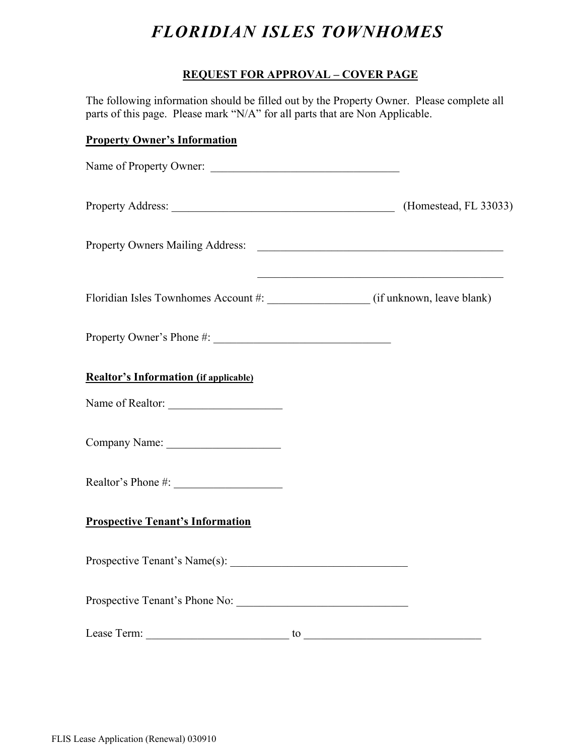### **REQUEST FOR APPROVAL – COVER PAGE**

The following information should be filled out by the Property Owner. Please complete all parts of this page. Please mark "N/A" for all parts that are Non Applicable.

### **Property Owner's Information**

| Name of Property Owner:                      |  |
|----------------------------------------------|--|
| Property Address: (Homestead, FL 33033)      |  |
|                                              |  |
|                                              |  |
|                                              |  |
| <b>Realtor's Information (if applicable)</b> |  |
| Name of Realtor:                             |  |
|                                              |  |
|                                              |  |
| <b>Prospective Tenant's Information</b>      |  |
|                                              |  |
|                                              |  |
|                                              |  |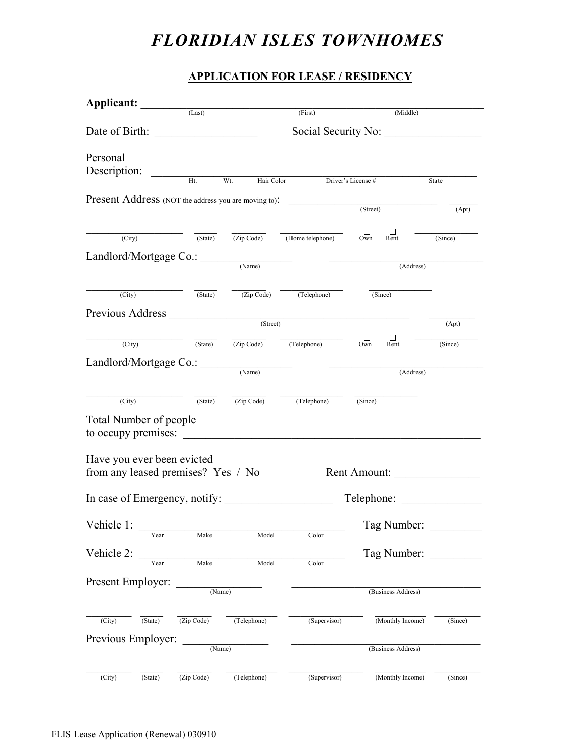#### **APPLICATION FOR LEASE / RESIDENCY**

| Applicant: (Last)                                    |                    |                   |                                                                                                                                   |                                 |         |
|------------------------------------------------------|--------------------|-------------------|-----------------------------------------------------------------------------------------------------------------------------------|---------------------------------|---------|
|                                                      |                    |                   | (First)                                                                                                                           | (Middle)                        |         |
|                                                      |                    |                   |                                                                                                                                   | Social Security No:             |         |
| Personal                                             |                    |                   |                                                                                                                                   |                                 |         |
| Description:                                         |                    |                   |                                                                                                                                   |                                 |         |
|                                                      | Ht                 | Wt.<br>Hair Color |                                                                                                                                   | Driver's License #              | State   |
| Present Address (NOT the address you are moving to): |                    |                   |                                                                                                                                   | (Street)                        | (Apt)   |
|                                                      |                    |                   |                                                                                                                                   |                                 |         |
| (City)                                               | $(\text{State})$   |                   | $\overline{(Zip Code)}$ (Home telephone)                                                                                          | $\Box$<br>Own<br>$\Box$<br>Rent | (Since) |
| Landlord/Mortgage Co.:                               |                    |                   |                                                                                                                                   |                                 |         |
|                                                      |                    | (Name)            | <u> Alexandria de la contenta de la contenta de la contenta de la contenta de la contenta de la contenta de la c</u><br>(Address) |                                 |         |
| (City)                                               |                    |                   | $\overline{(State)}$ $\overline{(Zip Code)}$ $\overline{(Telephone)}$                                                             | (Since)                         |         |
|                                                      |                    |                   |                                                                                                                                   |                                 |         |
| Previous Address (Street)                            |                    |                   |                                                                                                                                   |                                 | (Apt)   |
| (City) (State) (Zip Code) (Telephone)                |                    |                   |                                                                                                                                   | $\Box$<br>$\prod_{\text{Rent}}$ | (Since) |
|                                                      |                    |                   |                                                                                                                                   |                                 |         |
| Landlord/Mortgage Co.:                               |                    | (Name)            |                                                                                                                                   | (Address)                       |         |
|                                                      |                    |                   |                                                                                                                                   |                                 |         |
| (City)                                               |                    |                   | $\overline{\text{(State)}}$ $\overline{\text{(Zip Code)}}$ $\overline{\text{(Telephone)}}$ $\overline{\text{(Since)}}$            |                                 |         |
| <b>Total Number of people</b>                        |                    |                   |                                                                                                                                   |                                 |         |
| to occupy premises:                                  |                    |                   |                                                                                                                                   |                                 |         |
| Have you ever been evicted                           |                    |                   |                                                                                                                                   |                                 |         |
| from any leased premises? Yes / No                   |                    |                   |                                                                                                                                   | Rent Amount:                    |         |
|                                                      |                    |                   |                                                                                                                                   |                                 |         |
| In case of Emergency, notify:                        |                    |                   |                                                                                                                                   | Telephone:                      |         |
| Vehicle 1:                                           |                    |                   |                                                                                                                                   | Tag Number:                     |         |
| Year                                                 | Make               | Model             | Color                                                                                                                             |                                 |         |
| Vehicle 2:                                           |                    |                   |                                                                                                                                   | Tag Number:                     |         |
|                                                      | Make               | Model             | Color                                                                                                                             |                                 |         |
| Present Employer:                                    |                    |                   |                                                                                                                                   |                                 |         |
|                                                      | $\frac{1}{(Name)}$ |                   |                                                                                                                                   | (Business Address)              |         |
| (City)<br>(State)                                    | (Zip Code)         | (Telephone)       | (Supervisor)                                                                                                                      | (Monthly Income)                | (Since) |
| Previous Employer:                                   |                    |                   |                                                                                                                                   |                                 |         |
|                                                      | (Name)             |                   |                                                                                                                                   | (Business Address)              |         |
|                                                      |                    |                   |                                                                                                                                   |                                 |         |
| (City)<br>(State)                                    | (Zip Code)         | (Telephone)       | (Supervisor)                                                                                                                      | (Monthly Income)                | (Since) |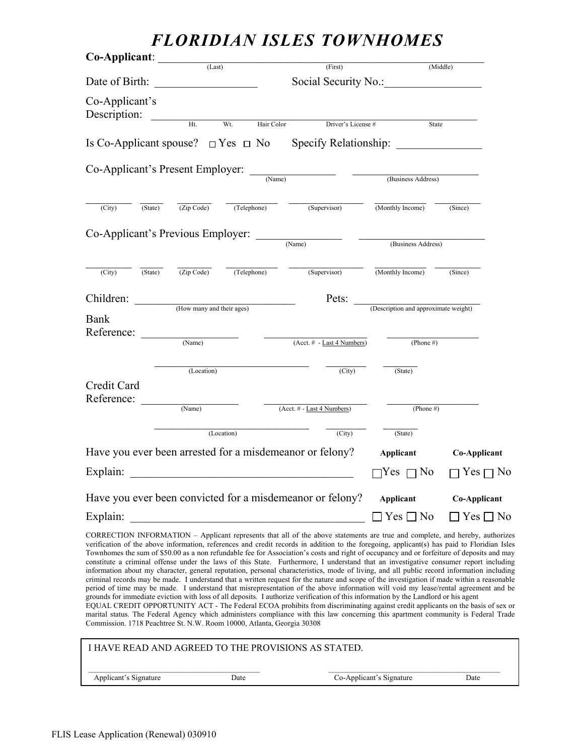| Co-Applicant:                                             | (Last)                                  |                           |                                                                                                                                                                                                                                                                                                                                                                                                                                                                                                                                             |                                      |                     |
|-----------------------------------------------------------|-----------------------------------------|---------------------------|---------------------------------------------------------------------------------------------------------------------------------------------------------------------------------------------------------------------------------------------------------------------------------------------------------------------------------------------------------------------------------------------------------------------------------------------------------------------------------------------------------------------------------------------|--------------------------------------|---------------------|
|                                                           |                                         |                           | (First)                                                                                                                                                                                                                                                                                                                                                                                                                                                                                                                                     |                                      | (Middle)            |
| Date of Birth:                                            | <u> 1989 - Johann Barbara, martin a</u> |                           | Social Security No.:                                                                                                                                                                                                                                                                                                                                                                                                                                                                                                                        |                                      |                     |
| Co-Applicant's<br>Description:                            | $\overline{Ht}$                         | Wt.<br>Hair Color         | Driver's License #                                                                                                                                                                                                                                                                                                                                                                                                                                                                                                                          | State                                |                     |
|                                                           |                                         |                           | Is Co-Applicant spouse? $\Box$ Yes $\Box$ No Specify Relationship:                                                                                                                                                                                                                                                                                                                                                                                                                                                                          |                                      |                     |
|                                                           |                                         |                           | $Co-Applicant's Present Employee:$ $\frac{(\text{Name})}{(\text{Name})}$                                                                                                                                                                                                                                                                                                                                                                                                                                                                    | (Business Address)                   |                     |
| (City)<br>(State)                                         |                                         |                           | $\overline{(Zip Code)}$ $\overline{(Telephone)}$ $\overline{(Supervisor)}$ $\overline{(Monthly Income)}$                                                                                                                                                                                                                                                                                                                                                                                                                                    |                                      | (Since)             |
| $Co-Applicant's Previous Employee:$ (Name)                |                                         |                           |                                                                                                                                                                                                                                                                                                                                                                                                                                                                                                                                             | (Business Address)                   |                     |
| (City)<br>(State)                                         | (Zip Code)                              | (Telephone)               | (Supervisor)                                                                                                                                                                                                                                                                                                                                                                                                                                                                                                                                | (Monthly Income)                     | (Since)             |
| Children:                                                 |                                         | (How many and their ages) | Pets:                                                                                                                                                                                                                                                                                                                                                                                                                                                                                                                                       | (Description and approximate weight) |                     |
| Bank<br>Reference:                                        |                                         |                           |                                                                                                                                                                                                                                                                                                                                                                                                                                                                                                                                             |                                      |                     |
|                                                           | (Name)                                  |                           | $(Acct. # - Last 4 Numbers)$                                                                                                                                                                                                                                                                                                                                                                                                                                                                                                                | (Phone #)                            |                     |
|                                                           | (Location)                              |                           | (City)                                                                                                                                                                                                                                                                                                                                                                                                                                                                                                                                      | (State)                              |                     |
| Credit Card<br>Reference:                                 |                                         |                           |                                                                                                                                                                                                                                                                                                                                                                                                                                                                                                                                             |                                      |                     |
|                                                           | (Name)                                  |                           | (Acct. # - Last 4 Numbers)                                                                                                                                                                                                                                                                                                                                                                                                                                                                                                                  | (Phone #)                            |                     |
|                                                           |                                         | (Location)                | (City)                                                                                                                                                                                                                                                                                                                                                                                                                                                                                                                                      | (State)                              |                     |
| Have you ever been arrested for a misdemeanor or felony?  |                                         |                           |                                                                                                                                                                                                                                                                                                                                                                                                                                                                                                                                             | Applicant                            | Co-Applicant        |
| Explain:                                                  |                                         |                           |                                                                                                                                                                                                                                                                                                                                                                                                                                                                                                                                             | $Yes \sqcap No$                      | Yes $\Box$ No       |
| Have you ever been convicted for a misdemeanor or felony? |                                         |                           |                                                                                                                                                                                                                                                                                                                                                                                                                                                                                                                                             | <b>Applicant</b>                     | <b>Co-Applicant</b> |
| Explain:                                                  |                                         |                           |                                                                                                                                                                                                                                                                                                                                                                                                                                                                                                                                             | $\Box$ Yes $\Box$ No                 | 7 Yes ⊓ No          |
|                                                           |                                         |                           | CORRECTION INFORMATION – Applicant represents that all of the above statements are true and complete, and hereby, authorizes<br>verification of the above information, references and credit records in addition to the foregoing, applicant(s) has paid to Floridian Isles<br>Townhomes the sum of \$50.00 as a non refundable fee for Association's costs and right of occupancy and or forfeiture of deposits and may<br>. Course the deal description of this Chair. The Ready same security of the deal deal in increased services and |                                      |                     |

Townhomes the sum of \$50.00 as a non refundable fee for Association's costs and right of occupancy and or forfeiture of deposits and may constitute a criminal offense under the laws of this State. Furthermore, I understand that an investigative consumer report including information about my character, general reputation, personal characteristics, mode of living, and all public record information including criminal records may be made. I understand that a written request for the nature and scope of the investigation if made within a reasonable period of time may be made. I understand that misrepresentation of the above information will void my lease/rental agreement and be grounds for immediate eviction with loss of all deposits. I authorize verification of this information by the Landlord or his agent

EQUAL CREDIT OPPORTUNITY ACT - The Federal ECOA prohibits from discriminating against credit applicants on the basis of sex or marital status. The Federal Agency which administers compliance with this law concerning this apartment community is Federal Trade Commission. 1718 Peachtree St. N.W. Room 10000, Atlanta, Georgia 30308

| I HAVE READ AND AGREED TO THE PROVISIONS AS STATED. |      |                          |      |
|-----------------------------------------------------|------|--------------------------|------|
| Applicant's Signature                               | Date | Co-Applicant's Signature | Date |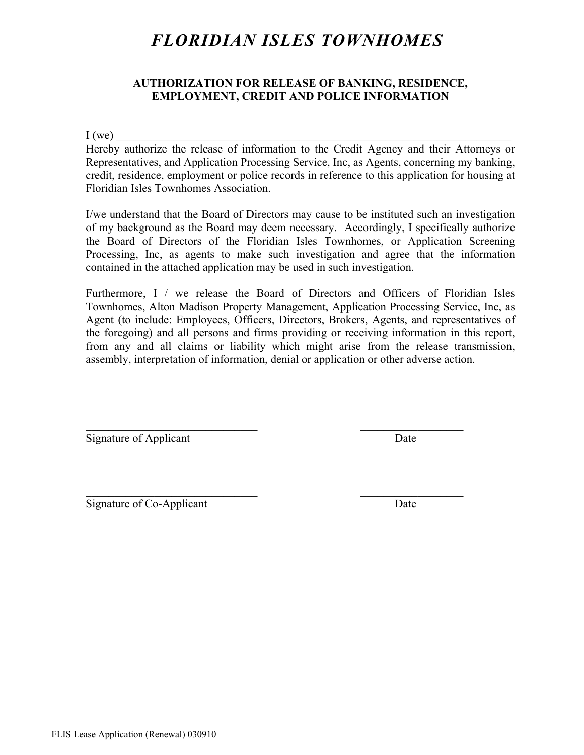#### **AUTHORIZATION FOR RELEASE OF BANKING, RESIDENCE, EMPLOYMENT, CREDIT AND POLICE INFORMATION**

 $I(we)$ 

Hereby authorize the release of information to the Credit Agency and their Attorneys or Representatives, and Application Processing Service, Inc, as Agents, concerning my banking, credit, residence, employment or police records in reference to this application for housing at Floridian Isles Townhomes Association.

I/we understand that the Board of Directors may cause to be instituted such an investigation of my background as the Board may deem necessary. Accordingly, I specifically authorize the Board of Directors of the Floridian Isles Townhomes, or Application Screening Processing, Inc, as agents to make such investigation and agree that the information contained in the attached application may be used in such investigation.

Furthermore, I / we release the Board of Directors and Officers of Floridian Isles Townhomes, Alton Madison Property Management, Application Processing Service, Inc, as Agent (to include: Employees, Officers, Directors, Brokers, Agents, and representatives of the foregoing) and all persons and firms providing or receiving information in this report, from any and all claims or liability which might arise from the release transmission, assembly, interpretation of information, denial or application or other adverse action.

 $\mathcal{L}_\text{max}$  and the contract of the contract of the contract of the contract of the contract of the contract of the contract of the contract of the contract of the contract of the contract of the contract of the contrac

 $\mathcal{L}_\text{max}$  and the contract of the contract of the contract of the contract of the contract of the contract of the contract of the contract of the contract of the contract of the contract of the contract of the contrac

Signature of Applicant Date

Signature of Co-Applicant Date